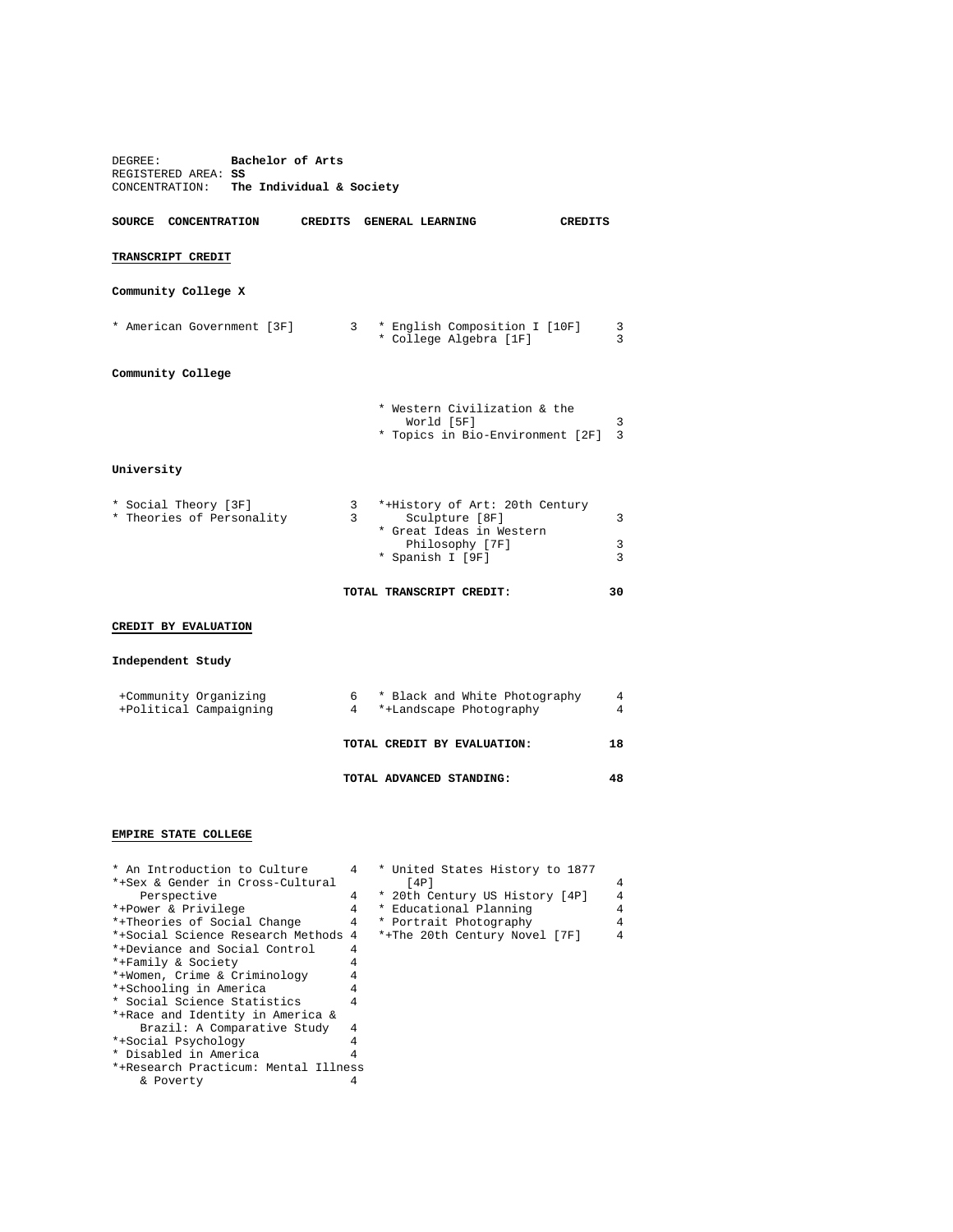| Bachelor of Arts<br>DEGREE:<br>REGISTERED AREA: SS<br>CONCENTRATION: The Individual & Society |                     |                                                                                                                     |                              |  |  |  |  |
|-----------------------------------------------------------------------------------------------|---------------------|---------------------------------------------------------------------------------------------------------------------|------------------------------|--|--|--|--|
| SOURCE CONCENTRATION                                                                          |                     | CREDITS GENERAL LEARNING                                                                                            | <b>CREDITS</b>               |  |  |  |  |
| TRANSCRIPT CREDIT                                                                             |                     |                                                                                                                     |                              |  |  |  |  |
| Community College X                                                                           |                     |                                                                                                                     |                              |  |  |  |  |
| * American Government [3F]                                                                    |                     | 3 * English Composition I [10F]<br>* College Algebra [1F]                                                           | 3<br>3                       |  |  |  |  |
| Community College                                                                             |                     |                                                                                                                     |                              |  |  |  |  |
|                                                                                               |                     | * Western Civilization & the<br>World [5F]<br>* Topics in Bio-Environment [2F]                                      | 3<br>$\overline{\mathbf{3}}$ |  |  |  |  |
| University                                                                                    |                     |                                                                                                                     |                              |  |  |  |  |
| * Social Theory [3F]<br>* Theories of Personality                                             | $\mathbf{3}$<br>3   | *+History of Art: 20th Century<br>Sculpture [8F]<br>* Great Ideas in Western<br>Philosophy [7F]<br>* Spanish I [9F] | 3<br>3<br>3                  |  |  |  |  |
|                                                                                               |                     | TOTAL TRANSCRIPT CREDIT:                                                                                            | 30                           |  |  |  |  |
| CREDIT BY EVALUATION                                                                          |                     |                                                                                                                     |                              |  |  |  |  |
| Independent Study                                                                             |                     |                                                                                                                     |                              |  |  |  |  |
| +Community Organizing<br>+Political Campaigning                                               | 4                   | 6 * Black and White Photography<br>*+Landscape Photography                                                          | 4<br>4                       |  |  |  |  |
|                                                                                               |                     | TOTAL CREDIT BY EVALUATION:                                                                                         | 18                           |  |  |  |  |
|                                                                                               |                     | TOTAL ADVANCED STANDING:                                                                                            | 48                           |  |  |  |  |
| EMPIRE STATE COLLEGE                                                                          |                     |                                                                                                                     |                              |  |  |  |  |
| * An Introduction to Culture<br>*+Sex & Gender in Cross-Cultural<br>Perspective               | 4<br>$\overline{4}$ | * United States History to 1877<br>[4P]<br>* 20th Century US History [4P]                                           | 4<br>$\overline{4}$          |  |  |  |  |

\* Disabled in America

& Poverty

\*+Family & Society 4 \*+Women, Crime & Criminology 4 \*+Schooling in America 4 \* Social Science Statistics 4 \*+Race and Identity in America & Brazil: A Comparative Study 4<br>ocial Psychology 4 \*+Social Psychology 4

\*+Research Practicum: Mental Illness

| " AN INCLOQUECION CO CUICULE        |   | 4 CULLLED SLALES HISLOLY LO 10// |                |
|-------------------------------------|---|----------------------------------|----------------|
| *+Sex & Gender in Cross-Cultural    |   | [4P]                             | 4              |
| Perspective                         |   | * 20th Century US History [4P]   | $\overline{4}$ |
| *+Power & Privilege                 | 4 | * Educational Planning           | 4              |
| *+Theories of Social Change         | 4 | * Portrait Photography           | $\overline{4}$ |
| *+Social Science Research Methods 4 |   | *+The 20th Century Novel [7F]    | $\overline{4}$ |
| *+Deviance and Social Control       |   |                                  |                |
| *+Family & Society                  |   |                                  |                |